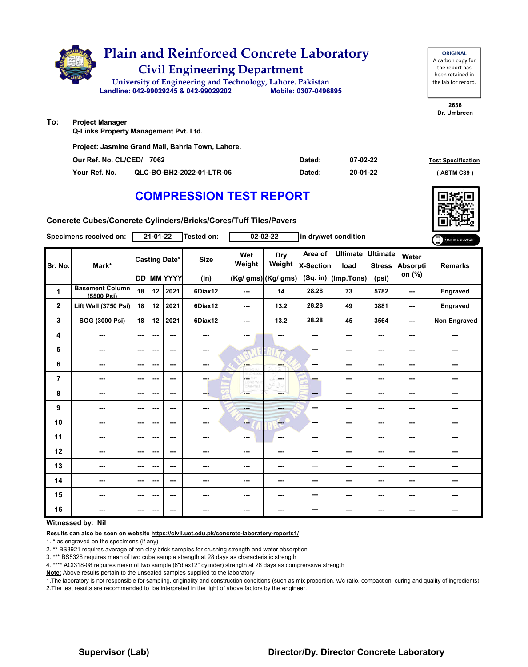|     |                        | <b>Plain and Reinforced Concrete Laboratory</b><br><b>Civil Engineering Department</b><br>University of Engineering and Technology, Lahore. Pakistan<br>Landline: 042-99029245 & 042-99029202 | Mobile: 0307-0496895 |          | <b>ORIGINAL</b><br>A carbon copy for<br>the report has<br>been retained in<br>the lab for record. |
|-----|------------------------|-----------------------------------------------------------------------------------------------------------------------------------------------------------------------------------------------|----------------------|----------|---------------------------------------------------------------------------------------------------|
|     |                        |                                                                                                                                                                                               |                      |          | 2636<br>Dr. Umbreen                                                                               |
| To: | <b>Project Manager</b> |                                                                                                                                                                                               |                      |          |                                                                                                   |
|     |                        | <b>Q-Links Property Management Pvt. Ltd.</b>                                                                                                                                                  |                      |          |                                                                                                   |
|     |                        | Project: Jasmine Grand Mall, Bahria Town, Lahore.                                                                                                                                             |                      |          |                                                                                                   |
|     |                        | Our Ref. No. CL/CED/<br>7062                                                                                                                                                                  | Dated:               | 07-02-22 | <b>Test Specification</b>                                                                         |

**Your Ref. No. QLC-BO-BH2-2022-01-LTR-06 Dated: ( ASTM C39 )**

**20-01-22**

## **COMPRESSION TEST REPORT**

**Concrete Cubes/Concrete Cylinders/Bricks/Cores/Tuff Tiles/Pavers**

|                | Specimens received on:               |                          | $21 - 01 - 22$ |                                           | Tested on:          |                         | $02 - 02 - 22$                       |                                         | in dry/wet condition                  |                                    |                                    | ONLINE REPORT   |
|----------------|--------------------------------------|--------------------------|----------------|-------------------------------------------|---------------------|-------------------------|--------------------------------------|-----------------------------------------|---------------------------------------|------------------------------------|------------------------------------|-----------------|
| Sr. No.        | Mark*                                |                          |                | <b>Casting Date*</b><br><b>DD MM YYYY</b> | <b>Size</b><br>(in) | Wet<br>Weight           | Dry<br>Weight<br>(Kg/ gms) (Kg/ gms) | Area of<br><b>X-Section</b><br>(Sq. in) | <b>Ultimate</b><br>load<br>(Imp.Tons) | Ultimate<br><b>Stress</b><br>(psi) | Water<br><b>Absorpti</b><br>on (%) | <b>Remarks</b>  |
| 1              | <b>Basement Column</b><br>(5500 Psi) | 18                       | 12             | 2021                                      | 6Diax12             | ---                     | 14                                   | 28.28                                   | 73                                    | 5782                               | ---                                | Engraved        |
| $\mathbf{2}$   | Lift Wall (3750 Psi)                 | 18                       | 12             | 2021                                      | 6Diax12             | $--$                    | 13.2                                 | 28.28                                   | 49                                    | 3881                               | ---                                | <b>Engraved</b> |
| 3              | SOG (3000 Psi)                       | 18                       | 12             | 2021                                      | 6Diax12             | ---                     | 13.2                                 | 28.28                                   | 45                                    | 3564                               | ---                                | Non Engraved    |
| 4              | ---                                  | $\sim$                   | ---            | $\sim$ $\sim$                             | ---                 | $--$                    | $\sim$                               | ---                                     | ---                                   | ---                                | ---                                | ---             |
| 5              | ---                                  | $\sim$ $\sim$            | ---            | $- - -$                                   | $\sim$ $\sim$       | $\overline{\mathbf{a}}$ | $-$                                  | ---                                     | ---                                   | ---                                | ---                                | ---             |
| 6              | ---                                  | $--$                     | ---            | ---                                       | ---                 | <b>Barnet</b><br>birah. | ---                                  | ---                                     | ---                                   | ---                                | ---                                | ---             |
| $\overline{7}$ | ---                                  | $\sim$ $\sim$            | ---            | $\sim$ $\sim$                             | <b>SHOP</b>         | CETHY<br>LIDRO WH       | la sua                               | ---                                     | ---                                   | ---                                | ---                                | ---             |
| 8              | ---                                  | $\sim$                   | ---            | $\sim$ $\sim$                             | --                  | ---                     | ment.                                | $\qquad \qquad \cdots$                  | ---                                   | ---                                | ---                                | ---             |
| 9              | ---                                  | $--$                     | ---            | $\overline{\phantom{a}}$                  | $\sim$              | $- - -$                 | <b>AND</b>                           | ---                                     | ---                                   | ---                                | ---                                | ---             |
| 10             | ---                                  | $\sim$ $\sim$            | ---            | $\sim$ $\sim$                             | ---                 | --                      | <b>Free</b>                          | ---                                     | ---                                   | ---                                | ---                                | ---             |
| 11             | ---                                  | $\overline{\phantom{a}}$ | ---            | $\sim$                                    | ---                 | ---                     | ---                                  | ---                                     | ---                                   | ---                                |                                    | ---             |
| 12             | ---                                  | ---                      | ---            | $\sim$ $\sim$                             | ---                 | ---                     | ---                                  | ---                                     | ---                                   | ---                                | ---                                | ---             |
| 13             | ---                                  | $--$                     | ---            | $\overline{\phantom{a}}$                  | ---                 | ---                     | ---                                  | ---                                     | ---                                   | ---                                | ---                                | ---             |
| 14             | ---                                  | $\sim$                   | ---            | $\hspace{0.05cm} \ldots$                  | $\sim$              | ---                     | ---                                  | ---                                     | ---                                   | ---                                | ---                                | ---             |
| 15             | ---                                  | $--$                     | ---            | $\sim$ $\sim$                             | ---                 | ---                     | $\sim$                               | ---                                     | ---                                   | ---                                | ---                                | ---             |
| 16             | $\sim$                               | $\sim$                   | ---            | ---                                       | $\sim$              | ---                     | ---                                  | ---                                     | ---                                   | ---                                | ---                                | ---             |
|                | Witnessed by: Nil                    |                          |                |                                           |                     |                         |                                      |                                         |                                       |                                    |                                    |                 |

**Results can also be seen on website https://civil.uet.edu.pk/concrete-laboratory-reports1/**

1. \* as engraved on the specimens (if any)

2. \*\* BS3921 requires average of ten clay brick samples for crushing strength and water absorption

3. \*\*\* BS5328 requires mean of two cube sample strength at 28 days as characteristic strength

4. \*\*\*\* ACI318-08 requires mean of two sample (6"diax12" cylinder) strength at 28 days as comprerssive strength

**Note:** Above results pertain to the unsealed samples supplied to the laboratory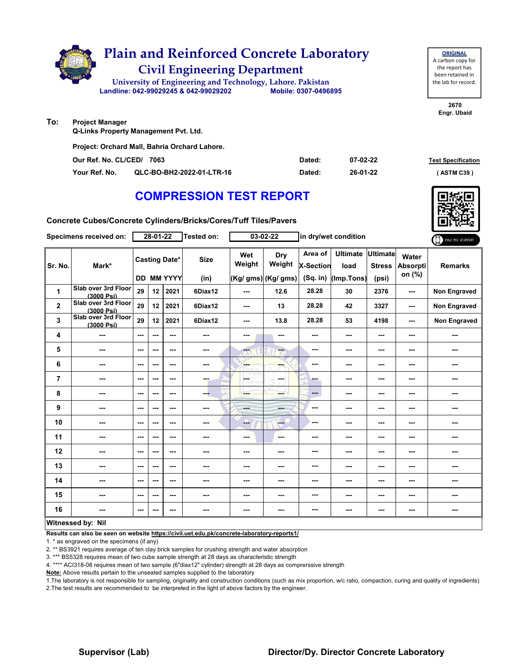

**Your Ref. No. QLC-BO-BH2-2022-01-LTR-16 Dated: ( ASTM C39 )**

**26-01-22**

**Concrete Cubes/Concrete Cylinders/Bricks/Cores/Tuff Tiles/Pavers**

|                | Specimens received on:            |      | $28 - 01 - 22$ |                                           | Tested on:          | $03 - 02 - 22$           |                                      | in dry/wet condition                    |                                       |                                           | ONLINE REPORT                      |                     |
|----------------|-----------------------------------|------|----------------|-------------------------------------------|---------------------|--------------------------|--------------------------------------|-----------------------------------------|---------------------------------------|-------------------------------------------|------------------------------------|---------------------|
| Sr. No.        | Mark*                             |      |                | <b>Casting Date*</b><br><b>DD MM YYYY</b> | <b>Size</b><br>(in) | Wet<br>Weight            | Dry<br>Weight<br>(Kg/ gms) (Kg/ gms) | Area of<br><b>X-Section</b><br>(Sq. in) | <b>Ultimate</b><br>load<br>(Imp.Tons) | <b>Ultimate</b><br><b>Stress</b><br>(psi) | Water<br><b>Absorpti</b><br>on (%) | <b>Remarks</b>      |
| 1              | Slab over 3rd Floor<br>(3000 Psi) | 29   | 12             | 2021                                      | 6Diax12             | $-$                      | 12.6                                 | 28.28                                   | 30                                    | 2376                                      | ---                                | <b>Non Engraved</b> |
| $\mathbf 2$    | Slab over 3rd Floor<br>(3000 Psi) | 29   | 12             | 2021                                      | 6Diax12             | $\sim$ $\sim$            | 13                                   | 28.28                                   | 42                                    | 3327                                      | ---                                | <b>Non Engraved</b> |
| 3              | Slab over 3rd Floor<br>(3000 Psi) | 29   | 12             | 2021                                      | 6Diax12             | $\sim$ $\sim$            | 13.8                                 | 28.28                                   | 53                                    | 4198                                      | $\sim$                             | <b>Non Engraved</b> |
| 4              | ---                               | ---  | ---            | $--$                                      | ---                 | ---                      | ---                                  | ---                                     | ---                                   | ---                                       | ---                                |                     |
| 5              | ---                               | $--$ | ---            | ---                                       | ---                 | <b>Fact</b>              | ---                                  | ---                                     | ---                                   | ---                                       | ---                                |                     |
| 6              | ---                               | ---  | ---            | ---                                       | ---                 | <b>SHOP</b>              | ---                                  | ---                                     | ---                                   | ---                                       | ---                                | ---                 |
| $\overline{7}$ | ---                               | ---  | ---            | ---                                       | ---                 | ---<br>LIDRED WH         | ---                                  | ---                                     | ---                                   | ---                                       | ---                                | ---                 |
| 8              | ---                               | ---  | ---            | ---                                       | ---                 |                          | ---                                  | $---$                                   | ---                                   | ---                                       | ---                                |                     |
| 9              | ---                               | $--$ | ---            | $--$                                      |                     | <b>Barbara</b>           | ---                                  | ---                                     | ---                                   | ---                                       | ---                                | ---                 |
| 10             | ---                               | ---  | ---            | ---                                       | ---                 | --                       | ---                                  | ---                                     | ---                                   | ---                                       | ---                                | ---                 |
| 11             | ---                               | ---  | ---            | ---                                       | ---                 | ---                      | ---                                  | ---                                     | ---                                   | ---                                       | ---                                | ---                 |
| 12             | ---                               | ---  | ---            | $--$                                      |                     | ---                      | ---                                  | ---                                     | ---                                   | $--$                                      | ---                                | ---                 |
| 13             | ---                               | $--$ | ---            | $--$                                      | ---                 | ---                      | ---                                  | ---                                     | ---                                   | ---                                       | ---                                | ---                 |
| 14             | ---                               | $--$ | ---            | $--$                                      | ---                 | ---                      | ---                                  | ---                                     | ---                                   | ---                                       | ---                                | ---                 |
| 15             | ---                               | ---  | ---            | $--$                                      | ---                 | ---                      | ---                                  | ---                                     | ---                                   | $--$                                      | ---                                | ---                 |
| 16             | ---                               | $--$ | ---            | ---                                       |                     | $\overline{\phantom{a}}$ | ---                                  | ---                                     | ---                                   | ---                                       | ---                                | ---                 |
|                | Witnessed by: Nil                 |      |                |                                           |                     |                          |                                      |                                         |                                       |                                           |                                    |                     |

**Results can also be seen on website https://civil.uet.edu.pk/concrete-laboratory-reports1/**

1. \* as engraved on the specimens (if any)

2. \*\* BS3921 requires average of ten clay brick samples for crushing strength and water absorption

3. \*\*\* BS5328 requires mean of two cube sample strength at 28 days as characteristic strength

4. \*\*\*\* ACI318-08 requires mean of two sample (6"diax12" cylinder) strength at 28 days as comprerssive strength

**Note:** Above results pertain to the unsealed samples supplied to the laboratory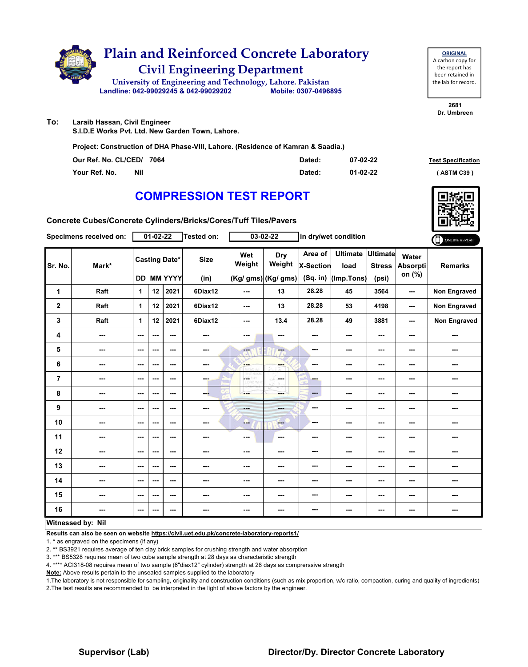

**ORIGINAL** A carbon copy for the report has been retained in the lab for record.

**2681 Dr. Umbreen**

**To: Laraib Hassan, Civil Engineer**

**S.I.D.E Works Pvt. Ltd. New Garden Town, Lahore.**

**Project: Construction of DHA Phase-VIII, Lahore. (Residence of Kamran & Saadia.)**

| Our Ref. No. CL/CED/ 7064 |     | Dated: | 07-02-22       | <b>Test Specification</b> |
|---------------------------|-----|--------|----------------|---------------------------|
| Your Ref. No.             | Nil | Dated: | $01 - 02 - 22$ | (ASTM C39)                |

#### **COMPRESSION TEST REPORT**

**Concrete Cubes/Concrete Cylinders/Bricks/Cores/Tuff Tiles/Pavers**

|                | Specimens received on:   |                          | $01 - 02 - 22$ |                                           | Tested on:          |                         | $03 - 02 - 22$                       | in dry/wet condition                      |                                       |                                           |                                    | ONLINE REPORT  |
|----------------|--------------------------|--------------------------|----------------|-------------------------------------------|---------------------|-------------------------|--------------------------------------|-------------------------------------------|---------------------------------------|-------------------------------------------|------------------------------------|----------------|
| Sr. No.        | Mark*                    |                          |                | <b>Casting Date*</b><br><b>DD MM YYYY</b> | <b>Size</b><br>(in) | Wet<br>Weight           | Dry<br>Weight<br>(Kg/ gms) (Kg/ gms) | Area of<br><b>X-Section</b><br>$(Sq.$ in) | <b>Ultimate</b><br>load<br>(Imp.Tons) | <b>Ultimate</b><br><b>Stress</b><br>(psi) | Water<br><b>Absorpti</b><br>on (%) | <b>Remarks</b> |
| 1              | Raft                     | 1                        | 12             | 2021                                      | 6Diax12             | ---                     | 13                                   | 28.28                                     | 45                                    | 3564                                      | ---                                | Non Engraved   |
| $\mathbf 2$    | Raft                     | $\mathbf{1}$             | 12             | 2021                                      | 6Diax12             | ---                     | 13                                   | 28.28                                     | 53                                    | 4198                                      | ---                                | Non Engraved   |
| 3              | Raft                     | $\mathbf{1}$             | 12             | 2021                                      | 6Diax12             | ---                     | 13.4                                 | 28.28                                     | 49                                    | 3881                                      | ---                                | Non Engraved   |
| 4              | $\cdots$                 | $\sim$                   | ---            | $\overline{\phantom{a}}$                  | $\sim$              | ---                     | ---                                  | ---                                       | ---                                   | ---                                       | ---                                | ---            |
| 5              | $--$                     | $\sim$                   | ---            | ---                                       | ---                 | $\overline{\mathbf{a}}$ | $--$                                 | $\sim$                                    | ---                                   | ---                                       | ---                                | ---            |
| 6              | ---                      | $\sim$ $\sim$            | ---            | $- - -$                                   | $\sim$              | ---                     | <b>FALL</b>                          | ---                                       | ---                                   | ---                                       | ---                                | ---            |
| $\overline{7}$ | ---                      | $--$                     | ---            | $\overline{\phantom{a}}$                  | ---                 | CORD WHE                | ---                                  | ---                                       | ---                                   | ---                                       |                                    | ---            |
| 8              | ---                      | $\overline{\phantom{a}}$ | ---            | $\sim$                                    | ---                 | ---                     | ment i                               | $\cdots$                                  | ---                                   | ---                                       |                                    | ---            |
| 9              | $\sim$                   | $\overline{\phantom{a}}$ | ---            | ---                                       | $\sim$              | $- - -$                 | ---                                  | ---                                       | ---                                   | ---                                       | ---                                | ---            |
| 10             | ---                      | $\overline{\phantom{a}}$ | ---            | $\sim$                                    | ---                 | ---                     | <b>Fee</b>                           | ---                                       | ---                                   | ---                                       | ---                                | ---            |
| 11             | $\overline{\phantom{a}}$ | $\sim$ $\sim$            | ---            | $\sim$ $\sim$                             | $\sim$              | $--$                    | $\frac{1}{2}$                        | ---                                       | ---                                   | ---                                       | ---                                | ---            |
| 12             | $\qquad \qquad \cdots$   | ---                      | ---            | $\overline{\phantom{a}}$                  | ---                 | ---                     | ---                                  | ---                                       | ---                                   | ---                                       | ---                                | ---            |
| 13             | ---                      | ---                      | ---            | $--$                                      | ---                 | ---                     | ---                                  | ---                                       | ---                                   | ---                                       | ---                                | ---            |
| 14             | ---                      | $\overline{\phantom{a}}$ | ---            | ---                                       | $\sim$              | ---                     | ---                                  | ---                                       | ---                                   | ---                                       | ---                                | ---            |
| 15             | ---                      | $\overline{\phantom{a}}$ | ---            | $- - -$                                   | ---                 | ---                     | ---                                  | ---                                       | ---                                   | ---                                       | ---                                | ---            |
| 16             | ---                      | $\overline{\phantom{a}}$ | ---            | $\sim$ $\sim$                             | $\sim$              | ---                     | ---                                  | ---                                       | ---                                   | $\overline{\phantom{a}}$                  | ---                                | ---            |
|                | Witnessed by: Nil        |                          |                |                                           |                     |                         |                                      |                                           |                                       |                                           |                                    |                |

#### **Witnessed by: Nil**

**Results can also be seen on website https://civil.uet.edu.pk/concrete-laboratory-reports1/**

1. \* as engraved on the specimens (if any)

2. \*\* BS3921 requires average of ten clay brick samples for crushing strength and water absorption

3. \*\*\* BS5328 requires mean of two cube sample strength at 28 days as characteristic strength

4. \*\*\*\* ACI318-08 requires mean of two sample (6"diax12" cylinder) strength at 28 days as comprerssive strength

**Note:** Above results pertain to the unsealed samples supplied to the laboratory



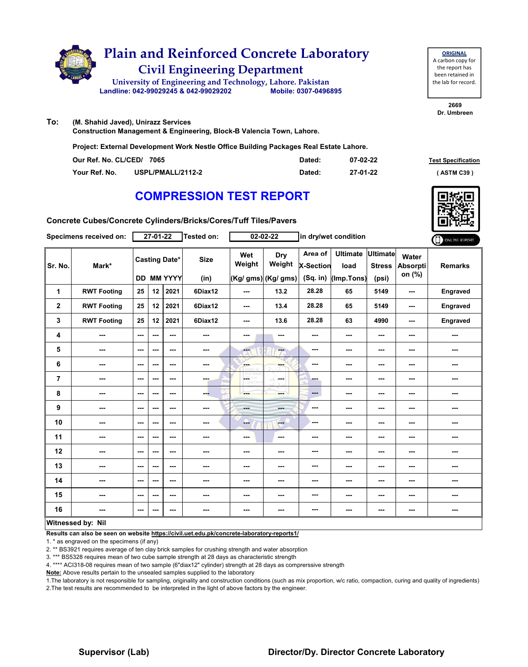

# **Civil Engineering Department Plain and Reinforced Concrete Laboratory**

**Landline: 042-99029245 & 042-99029202 Mobile: 0307-0496895 University of Engineering and Technology, Lahore. Pakistan**

**ORIGINAL** A carbon copy for the report has been retained in the lab for record.

**2669 Dr. Umbreen**

**To: (M. Shahid Javed), Unirazz Services** 

**Construction Management & Engineering, Block-B Valencia Town, Lahore.**

**Project: External Development Work Nestle Office Building Packages Real Estate Lahore.**

| Our Ref. No. CL/CED/ 7065 |                   | Dated: | 07-02-22 | <b>Test Specification</b> |
|---------------------------|-------------------|--------|----------|---------------------------|
| Your Ref. No.             | USPL/PMALL/2112-2 | Dated: | 27-01-22 | (ASTM C39)                |

### **COMPRESSION TEST REPORT**



**Concrete Cubes/Concrete Cylinders/Bricks/Cores/Tuff Tiles/Pavers**

|                | Specimens received on: |               | $27 - 01 - 22$ |                                           | Tested on:               |                | $02 - 02 - 22$                       |                                           | in dry/wet condition                  |                                           |                             | ONLINE REPORT  |
|----------------|------------------------|---------------|----------------|-------------------------------------------|--------------------------|----------------|--------------------------------------|-------------------------------------------|---------------------------------------|-------------------------------------------|-----------------------------|----------------|
| Sr. No.        | Mark*                  |               |                | <b>Casting Date*</b><br><b>DD MM YYYY</b> | <b>Size</b><br>(in)      | Wet<br>Weight  | Dry<br>Weight<br>(Kg/ gms) (Kg/ gms) | Area of<br><b>X-Section</b><br>$(Sq.$ in) | <b>Ultimate</b><br>load<br>(Imp.Tons) | <b>Ultimate</b><br><b>Stress</b><br>(psi) | Water<br>Absorpti<br>on (%) | <b>Remarks</b> |
| 1              | <b>RWT Footing</b>     | 25            | 12             | 2021                                      | 6Diax12                  | ---            | 13.2                                 | 28.28                                     | 65                                    | 5149                                      | ---                         | Engraved       |
| $\mathbf{2}$   | <b>RWT Footing</b>     | 25            | 12             | 2021                                      | 6Diax12                  | ---            | 13.4                                 | 28.28                                     | 65                                    | 5149                                      | $\overline{\phantom{a}}$    | Engraved       |
| 3              | <b>RWT Footing</b>     | 25            | 12             | 2021                                      | 6Diax12                  | ---            | 13.6                                 | 28.28                                     | 63                                    | 4990                                      | ---                         | Engraved       |
| 4              | ---                    | $- - -$       | ---            | ---                                       | $\sim$ $\sim$            | ---            | ---                                  | ---                                       | ---                                   | ---                                       | ---                         | ---            |
| 5              | $\sim$                 | $\sim$ $\sim$ | ---            | ---                                       | $\cdots$                 | $-1$           | --                                   | ---                                       | ---                                   | $--$                                      | ---                         | ---            |
| 6              | ---                    | $--$          | ---            | $--$                                      | $\overline{\phantom{a}}$ | ---            | ---                                  | ---                                       | ---                                   | ---                                       | ---                         | ---            |
| $\overline{7}$ | ---                    | ---           | ---            | $--$                                      | ---                      | <b>CETHY</b>   | ---                                  | ---                                       | ---                                   | ---                                       | ---                         |                |
| 8              | ---                    | $\sim$ $\sim$ | ---            | $\overline{\phantom{a}}$                  | --                       | ---            | ---                                  | ---                                       | ---                                   | $--$                                      | ---                         | ---            |
| 9              | ---                    | $\sim$ $\sim$ | ---            | ---                                       | $\cdots$                 | <b>Barbara</b> | ---                                  | ---                                       | ---                                   | ---                                       | ---                         | ---            |
| 10             | ---                    | $--$          | ---            | $--$                                      | ---                      | ---            | <b>Here</b>                          | ---                                       | ---                                   | ---                                       | ---                         | ---            |
| 11             | ---                    | $--$          | ---            | ---                                       | ---                      | ---            | $\sim$                               | ---                                       | ---                                   | ---                                       | ---                         | ---            |
| 12             | ---                    | ---           | ---            | ---                                       | ---                      | ---            | ---                                  | ---                                       | ---                                   | ---                                       | ---                         | ---            |
| 13             | ---                    | ---           | ---            | ---                                       | ---                      | ---            | ---                                  | ---                                       | ---                                   | ---                                       | ---                         | ---            |
| 14             | ---                    | $--$          | ---            | $--$                                      | ---                      | ---            | ---                                  | ---                                       | ---                                   | ---                                       | ---                         | ---            |
| 15             | ---                    | $\sim$ $\sim$ | ---            | $--$                                      | $\overline{\phantom{a}}$ | ---            | ---                                  | ---                                       | ---                                   | ---                                       | ---                         | ---            |
| 16             | ---                    | ---           | ---            | ---                                       | ---                      | ---            | ---                                  | ---                                       | ---                                   | $--$                                      | ---                         |                |
|                | Witnessed by: Nil      |               |                |                                           |                          |                |                                      |                                           |                                       |                                           |                             |                |

#### **Witnessed by: Nil**

**Results can also be seen on website https://civil.uet.edu.pk/concrete-laboratory-reports1/**

1. \* as engraved on the specimens (if any)

2. \*\* BS3921 requires average of ten clay brick samples for crushing strength and water absorption

3. \*\*\* BS5328 requires mean of two cube sample strength at 28 days as characteristic strength

4. \*\*\*\* ACI318-08 requires mean of two sample (6"diax12" cylinder) strength at 28 days as comprerssive strength

**Note:** Above results pertain to the unsealed samples supplied to the laboratory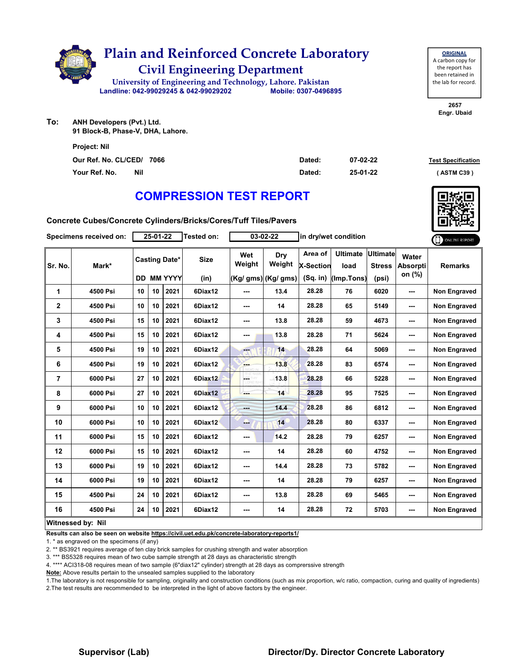

**ORIGINAL** A carbon copy for the report has been retained in the lab for record.

> **2657 Engr. Ubaid**

**To: ANH Developers (Pvt.) Ltd. 91 Block-B, Phase-V, DHA, Lahore.**

| <b>Project: Nil</b>       |     |        |          |                           |
|---------------------------|-----|--------|----------|---------------------------|
| Our Ref. No. CL/CED/ 7066 |     | Dated: | 07-02-22 | <b>Test Specification</b> |
| Your Ref. No.             | Nil | Dated: | 25-01-22 | (ASTM C39)                |

## **COMPRESSION TEST REPORT**

**Concrete Cubes/Concrete Cylinders/Bricks/Cores/Tuff Tiles/Pavers**

|              | Specimens received on: |    | 25-01-22        |                                           | Tested on:          |               | 03-02-22                                     |                                           | in dry/wet condition                  |                                           |                                    | ONLINE REPORT       |
|--------------|------------------------|----|-----------------|-------------------------------------------|---------------------|---------------|----------------------------------------------|-------------------------------------------|---------------------------------------|-------------------------------------------|------------------------------------|---------------------|
| Sr. No.      | Mark*                  |    |                 | <b>Casting Date*</b><br><b>DD MM YYYY</b> | <b>Size</b><br>(in) | Wet<br>Weight | <b>Dry</b><br>Weight<br>$(Kg/gms)$ (Kg/ gms) | Area of<br><b>X-Section</b><br>$(Sq.$ in) | <b>Ultimate</b><br>load<br>(Imp.Tons) | <b>Ultimate</b><br><b>Stress</b><br>(psi) | Water<br><b>Absorpti</b><br>on (%) | <b>Remarks</b>      |
| 1            | 4500 Psi               | 10 | 10              | 2021                                      | 6Diax12             | ---           | 13.4                                         | 28.28                                     | 76                                    | 6020                                      | ---                                | Non Engraved        |
| $\mathbf{2}$ | 4500 Psi               | 10 | 10 <sup>1</sup> | 2021                                      | 6Diax12             | ---           | 14                                           | 28.28                                     | 65                                    | 5149                                      | ---                                | <b>Non Engraved</b> |
| 3            | 4500 Psi               | 15 | 10              | 2021                                      | 6Diax12             | ---           | 13.8                                         | 28.28                                     | 59                                    | 4673                                      | ---                                | Non Engraved        |
| 4            | 4500 Psi               | 15 | 10              | 2021                                      | 6Diax12             | ---           | 13.8                                         | 28.28                                     | 71                                    | 5624                                      | ---                                | <b>Non Engraved</b> |
| 5            | 4500 Psi               | 19 | 10              | 2021                                      | 6Diax12             | ---           | 14                                           | 28.28                                     | 64                                    | 5069                                      | ---                                | Non Engraved        |
| 6            | 4500 Psi               | 19 | 10              | 2021                                      | 6Diax12             | ---           | 13.8                                         | 28.28                                     | 83                                    | 6574                                      | ---                                | Non Engraved        |
| 7            | 6000 Psi               | 27 | 10 <sup>1</sup> | 2021                                      | 6Diax12             | ---           | 13.8                                         | 28.28                                     | 66                                    | 5228                                      | ---                                | Non Engraved        |
| 8            | 6000 Psi               | 27 | 10              | 2021                                      | 6Diax12             |               | 14                                           | 28.28                                     | 95                                    | 7525                                      | ---                                | Non Engraved        |
| 9            | 6000 Psi               | 10 | 10              | 2021                                      | 6Diax12             |               | 14.4                                         | 28.28                                     | 86                                    | 6812                                      | ---                                | <b>Non Engraved</b> |
| 10           | 6000 Psi               | 10 | 10              | 2021                                      | 6Diax12             | --            | 14                                           | 28.28                                     | 80                                    | 6337                                      | ---                                | Non Engraved        |
| 11           | 6000 Psi               | 15 | 10              | 2021                                      | 6Diax12             | ---           | 14.2                                         | 28.28                                     | 79                                    | 6257                                      | ---                                | <b>Non Engraved</b> |
| 12           | 6000 Psi               | 15 | 10              | 2021                                      | 6Diax12             | ---           | 14                                           | 28.28                                     | 60                                    | 4752                                      | ---                                | <b>Non Engraved</b> |
| 13           | 6000 Psi               | 19 | 10 <sup>1</sup> | 2021                                      | 6Diax12             | ---           | 14.4                                         | 28.28                                     | 73                                    | 5782                                      | ---                                | <b>Non Engraved</b> |
| 14           | 6000 Psi               | 19 | 10 <sup>1</sup> | 2021                                      | 6Diax12             | ---           | 14                                           | 28.28                                     | 79                                    | 6257                                      | ---                                | Non Engraved        |
| 15           | 4500 Psi               | 24 | 10              | 2021                                      | 6Diax12             | ---           | 13.8                                         | 28.28                                     | 69                                    | 5465                                      | ---                                | Non Engraved        |
| 16           | 4500 Psi               | 24 | 10              | 2021                                      | 6Diax12             | ---           | 14                                           | 28.28                                     | 72                                    | 5703                                      | ---                                | Non Engraved        |
|              | Witngssad hy Nil       |    |                 |                                           |                     |               |                                              |                                           |                                       |                                           |                                    |                     |

#### **Witnessed by: Nil**

**Results can also be seen on website https://civil.uet.edu.pk/concrete-laboratory-reports1/**

1. \* as engraved on the specimens (if any)

2. \*\* BS3921 requires average of ten clay brick samples for crushing strength and water absorption

3. \*\*\* BS5328 requires mean of two cube sample strength at 28 days as characteristic strength

4. \*\*\*\* ACI318-08 requires mean of two sample (6"diax12" cylinder) strength at 28 days as comprerssive strength

**Note:** Above results pertain to the unsealed samples supplied to the laboratory

1.The laboratory is not responsible for sampling, originality and construction conditions (such as mix proportion, w/c ratio, compaction, curing and quality of ingredients) 2.The test results are recommended to be interpreted in the light of above factors by the engineer.

#### **Supervisor (Lab) Director/Dy. Director Concrete Laboratory**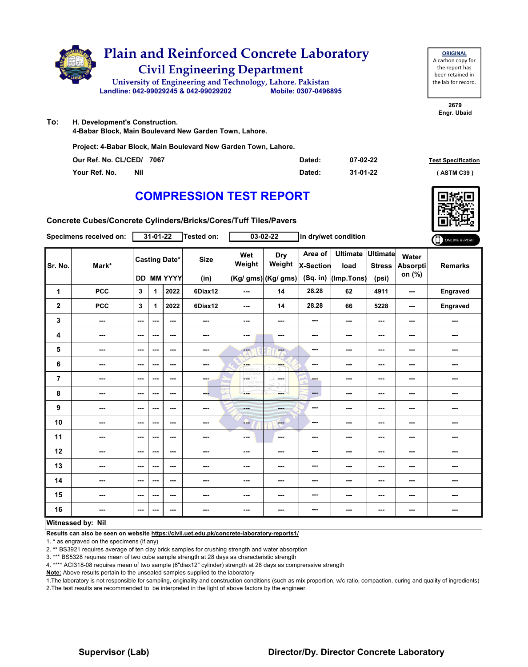

| <b>ORIGINAL</b>     |
|---------------------|
| A carbon copy for   |
| the report has      |
| been retained in    |
| the lab for record. |
|                     |

**2679 Engr. Ubaid**

**To: H. Development's Construction.**

**4-Babar Block, Main Boulevard New Garden Town, Lahore.**

**Project: 4-Babar Block, Main Boulevard New Garden Town, Lahore.**

| Our Ref. No. CL/CED/ 7067   | Dated: | 07-02-22 | <b>Test Specification</b> |
|-----------------------------|--------|----------|---------------------------|
| Your Ref. No.<br><b>Nil</b> | Dated: | 31-01-22 | (ASTM C39)                |

#### **COMPRESSION TEST REPORT**

**Concrete Cubes/Concrete Cylinders/Bricks/Cores/Tuff Tiles/Pavers**

| Specimens received on:  |                          | 31-01-22                                  |      |                          | Tested on:          | 03-02-22                 |                                      | in dry/wet condition                      |                                       |                                           |                                    | ONLINE REPORT  |
|-------------------------|--------------------------|-------------------------------------------|------|--------------------------|---------------------|--------------------------|--------------------------------------|-------------------------------------------|---------------------------------------|-------------------------------------------|------------------------------------|----------------|
| Sr. No.                 | Mark*                    | <b>Casting Date*</b><br><b>DD MM YYYY</b> |      |                          | <b>Size</b><br>(in) | Wet<br>Weight            | Dry<br>Weight<br>(Kg/ gms) (Kg/ gms) | Area of<br><b>X-Section</b><br>$(Sq.$ in) | <b>Ultimate</b><br>load<br>(Imp.Tons) | <b>Ultimate</b><br><b>Stress</b><br>(psi) | Water<br><b>Absorpti</b><br>on (%) | <b>Remarks</b> |
| 1                       | <b>PCC</b>               | 3                                         | 1    | 2022                     | 6Diax12             | ---                      | 14                                   | 28.28                                     | 62                                    | 4911                                      | ---                                | Engraved       |
| $\overline{\mathbf{2}}$ | <b>PCC</b>               | 3                                         | 1    | 2022                     | 6Diax12             | ---                      | 14                                   | 28.28                                     | 66                                    | 5228                                      | ---                                | Engraved       |
| 3                       | $\overline{\phantom{a}}$ | $\sim$                                    | ---  | $\overline{\phantom{a}}$ | ---                 | ---                      | ---                                  | ---                                       | ---                                   | ---                                       | ---                                | ---            |
| 4                       | $\cdots$                 | $\sim$                                    | ---  | $\sim$                   | $\sim$              | ---                      | ---                                  | ---                                       | ---                                   | ---                                       | ---                                | ---            |
| 5                       | ---                      | $--$                                      | ---  | $- - -$                  | ---                 | <b>Fee</b>               | ---                                  | $\sim$ $\sim$                             | ---                                   | ---                                       | ---                                | ---            |
| 6                       | ---                      | $\overline{\phantom{a}}$                  | ---  | $\sim$ $\sim$            | $\sim$              | ---                      | ---                                  | ---                                       | ---                                   | ---                                       | ---                                | ---            |
| $\overline{7}$          | $\overline{\phantom{a}}$ | $\sim$ $\sim$                             | ---  | $\sim$ $\sim$            | $-1$                | LG.<br>w<br><b>D.WFR</b> | ---<br>-S                            | ---                                       | ---                                   | ---                                       | ---                                | ---            |
| 8                       | ---                      | $\cdots$                                  | ---  | ---                      | ---                 | ---                      | ---                                  | $---$                                     | ---                                   | ---                                       | ---                                | ---            |
| 9                       | ---                      | $\overline{\phantom{a}}$                  | ---  | $\sim$ $\sim$            | $\sim$ $\sim$       | $- - -$                  | ---                                  | $-$                                       | ---                                   | ---                                       | ---                                | ---            |
| 10                      | $\overline{\phantom{a}}$ | $\sim$ $\sim$                             | $--$ | $\sim$ $\sim$            | $\sim$              | --                       | <b>Free</b>                          | ---                                       | ---                                   | $\overline{\phantom{a}}$                  | ---                                | ---            |
| 11                      | $\qquad \qquad \cdots$   | $\sim$                                    | ---  | $\sim$ $\sim$            | ---                 | ---                      | $\overline{\phantom{a}}$             | ---                                       | ---                                   | ---                                       | ---                                | ---            |
| 12                      | ---                      | ---                                       | ---  | ---                      | ---                 | ---                      | ---                                  | ---                                       | ---                                   | ---                                       | ---                                | ---            |
| 13                      | ---                      | $\overline{\phantom{a}}$                  | ---  | $\sim$                   | ---                 | ---                      | ---                                  | ---                                       | ---                                   | ---                                       | ---                                | ---            |
| 14                      | ---                      | $-$                                       | ---  | $\sim$ $\sim$            | $\sim$ $\sim$       | ---                      | ---                                  | ---                                       | ---                                   | ---                                       | ---                                | ---            |
| 15                      | ---                      | $\sim$                                    | ---  | $\sim$ $\sim$            | $\sim$              | ---                      | $\overline{\phantom{a}}$             | ---                                       | ---                                   | ---                                       | ---                                | ---            |
| 16                      | ---                      | $\sim$                                    | ---  | $\sim$                   | $\sim$              | ---                      | $\sim$                               | ---                                       | ---                                   | ---                                       | ---                                | ---            |
| Witnessed by: Nil       |                          |                                           |      |                          |                     |                          |                                      |                                           |                                       |                                           |                                    |                |

**Results can also be seen on website https://civil.uet.edu.pk/concrete-laboratory-reports1/**

1. \* as engraved on the specimens (if any)

2. \*\* BS3921 requires average of ten clay brick samples for crushing strength and water absorption

3. \*\*\* BS5328 requires mean of two cube sample strength at 28 days as characteristic strength

4. \*\*\*\* ACI318-08 requires mean of two sample (6"diax12" cylinder) strength at 28 days as comprerssive strength

**Note:** Above results pertain to the unsealed samples supplied to the laboratory